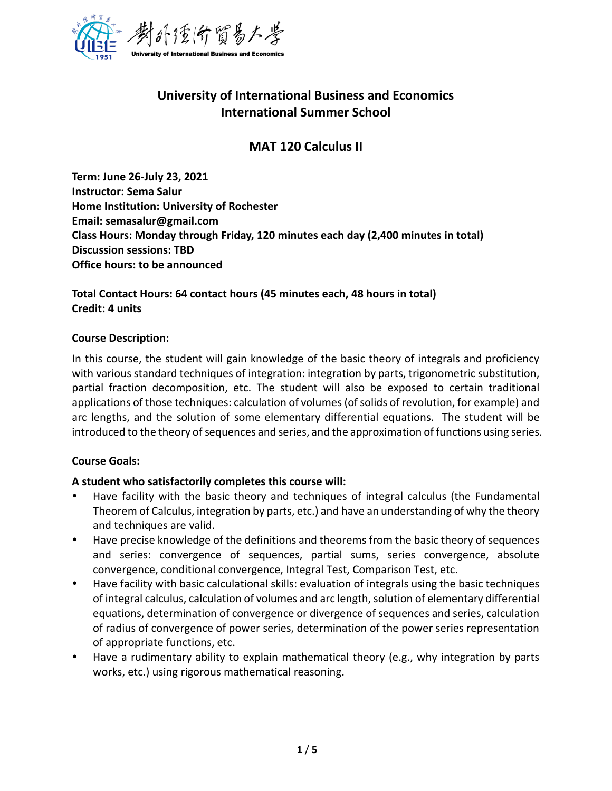

## **University of International Business and Economics International Summer School**

## **MAT 120 Calculus II**

**Term: June 26-July 23, 2021 Instructor: Sema Salur Home Institution: University of Rochester Email: semasalur@gmail.com Class Hours: Monday through Friday, 120 minutes each day (2,400 minutes in total) Discussion sessions: TBD Office hours: to be announced**

**Total Contact Hours: 64 contact hours (45 minutes each, 48 hours in total) Credit: 4 units**

## **Course Description:**

In this course, the student will gain knowledge of the basic theory of integrals and proficiency with various standard techniques of integration: integration by parts, trigonometric substitution, partial fraction decomposition, etc. The student will also be exposed to certain traditional applications of those techniques: calculation of volumes (of solids of revolution, for example) and arc lengths, and the solution of some elementary differential equations. The student will be introduced to the theory of sequences and series, and the approximation of functions using series.

## **Course Goals:**

## **A student who satisfactorily completes this course will:**

- Have facility with the basic theory and techniques of integral calculus (the Fundamental Theorem of Calculus, integration by parts, etc.) and have an understanding of why the theory and techniques are valid.
- Have precise knowledge of the definitions and theorems from the basic theory of sequences and series: convergence of sequences, partial sums, series convergence, absolute convergence, conditional convergence, Integral Test, Comparison Test, etc.
- Have facility with basic calculational skills: evaluation of integrals using the basic techniques of integral calculus, calculation of volumes and arc length, solution of elementary differential equations, determination of convergence or divergence of sequences and series, calculation of radius of convergence of power series, determination of the power series representation of appropriate functions, etc.
- Have a rudimentary ability to explain mathematical theory (e.g., why integration by parts works, etc.) using rigorous mathematical reasoning.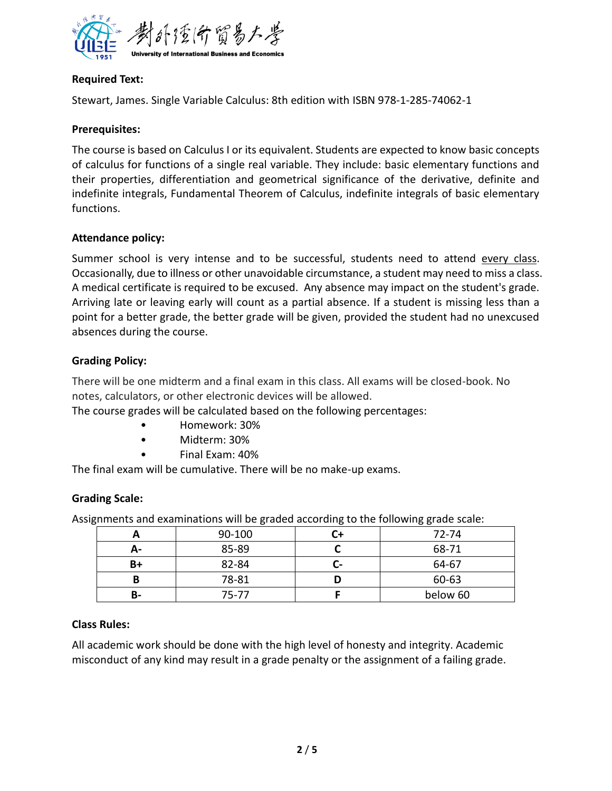

## **Required Text:**

Stewart, James. Single Variable Calculus: 8th edition with ISBN 978-1-285-74062-1

#### **Prerequisites:**

The course is based on Calculus I or its equivalent. Students are expected to know basic concepts of calculus for functions of a single real variable. They include: basic elementary functions and their properties, differentiation and geometrical significance of the derivative, definite and indefinite integrals, Fundamental Theorem of Calculus, indefinite integrals of basic elementary functions.

## **Attendance policy:**

Summer school is very intense and to be successful, students need to attend every class. Occasionally, due to illness or other unavoidable circumstance, a student may need to miss a class. A medical certificate is required to be excused. Any absence may impact on the student's grade. Arriving late or leaving early will count as a partial absence. If a student is missing less than a point for a better grade, the better grade will be given, provided the student had no unexcused absences during the course.

## **Grading Policy:**

There will be one midterm and a final exam in this class. All exams will be closed-book. No notes, calculators, or other electronic devices will be allowed.

The course grades will be calculated based on the following percentages:

- Homework: 30%
- Midterm: 30%
- Final Exam: 40%

The final exam will be cumulative. There will be no make-up exams.

## **Grading Scale:**

Assignments and examinations will be graded according to the following grade scale:

|    | 90-100    |    | 72-74    |
|----|-----------|----|----------|
| А- | 85-89     |    | 68-71    |
| B+ | 82-84     | л. | 64-67    |
|    | 78-81     |    | 60-63    |
| В- | $75 - 77$ |    | below 60 |

#### **Class Rules:**

All academic work should be done with the high level of honesty and integrity. Academic misconduct of any kind may result in a grade penalty or the assignment of a failing grade.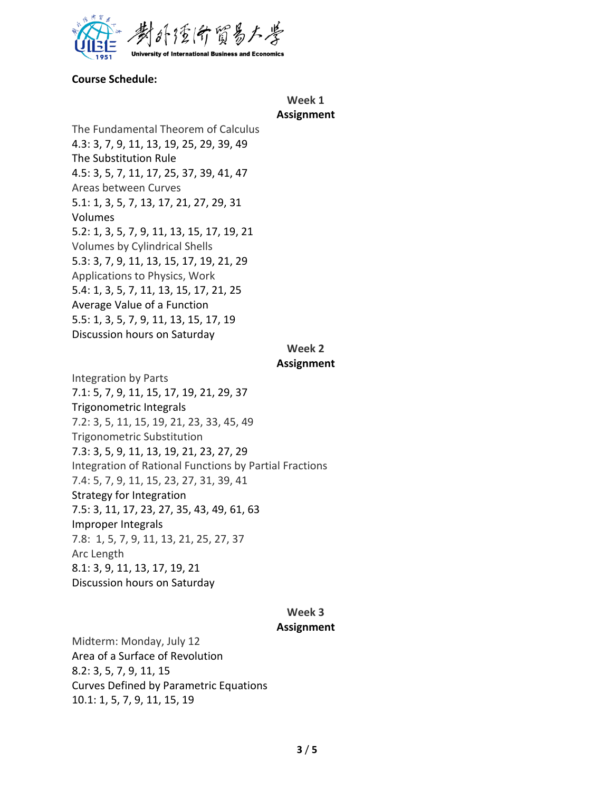

#### **Course Schedule:**

#### **Week 1 Assignment**

The Fundamental Theorem of Calculus 4.3: 3, 7, 9, 11, 13, 19, 25, 29, 39, 49 The Substitution Rule 4.5: 3, 5, 7, 11, 17, 25, 37, 39, 41, 47 Areas between Curves 5.1: 1, 3, 5, 7, 13, 17, 21, 27, 29, 31 Volumes 5.2: 1, 3, 5, 7, 9, 11, 13, 15, 17, 19, 21 Volumes by Cylindrical Shells 5.3: 3, 7, 9, 11, 13, 15, 17, 19, 21, 29 Applications to Physics, Work 5.4: 1, 3, 5, 7, 11, 13, 15, 17, 21, 25 Average Value of a Function 5.5: 1, 3, 5, 7, 9, 11, 13, 15, 17, 19 Discussion hours on Saturday

## **Week 2**

#### **Assignment**

Integration by Parts 7.1: 5, 7, 9, 11, 15, 17, 19, 21, 29, 37 Trigonometric Integrals 7.2: 3, 5, 11, 15, 19, 21, 23, 33, 45, 49 Trigonometric Substitution 7.3: 3, 5, 9, 11, 13, 19, 21, 23, 27, 29 Integration of Rational Functions by Partial Fractions 7.4: 5, 7, 9, 11, 15, 23, 27, 31, 39, 41 Strategy for Integration 7.5: 3, 11, 17, 23, 27, 35, 43, 49, 61, 63 Improper Integrals 7.8: 1, 5, 7, 9, 11, 13, 21, 25, 27, 37 Arc Length 8.1: 3, 9, 11, 13, 17, 19, 21 Discussion hours on Saturday

# **Week 3**

#### **Assignment**

Midterm: Monday, July 12 Area of a Surface of Revolution 8.2: 3, 5, 7, 9, 11, 15 Curves Defined by Parametric Equations 10.1: 1, 5, 7, 9, 11, 15, 19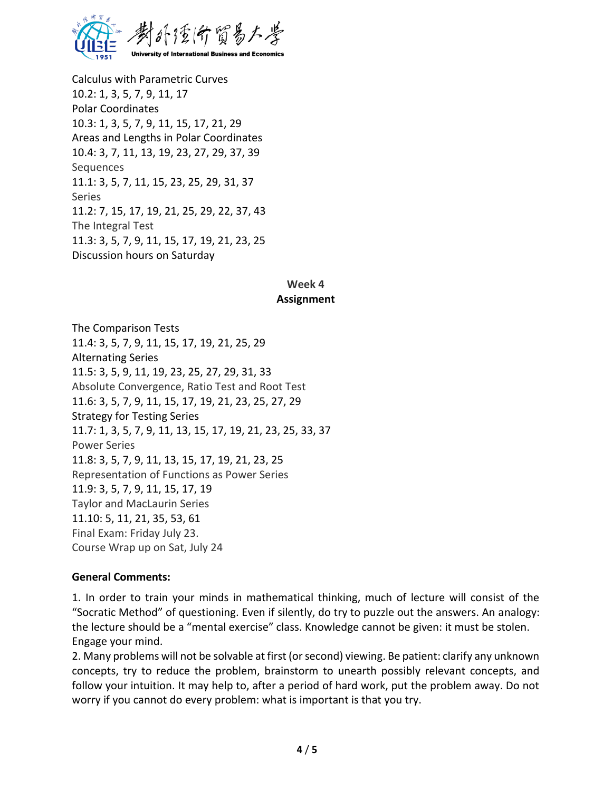

Calculus with Parametric Curves 10.2: 1, 3, 5, 7, 9, 11, 17 Polar Coordinates 10.3: 1, 3, 5, 7, 9, 11, 15, 17, 21, 29 Areas and Lengths in Polar Coordinates 10.4: 3, 7, 11, 13, 19, 23, 27, 29, 37, 39 **Sequences** 11.1: 3, 5, 7, 11, 15, 23, 25, 29, 31, 37 Series 11.2: 7, 15, 17, 19, 21, 25, 29, 22, 37, 43 The Integral Test 11.3: 3, 5, 7, 9, 11, 15, 17, 19, 21, 23, 25 Discussion hours on Saturday

#### **Week 4 Assignment**

The Comparison Tests 11.4: 3, 5, 7, 9, 11, 15, 17, 19, 21, 25, 29 Alternating Series 11.5: 3, 5, 9, 11, 19, 23, 25, 27, 29, 31, 33 Absolute Convergence, Ratio Test and Root Test 11.6: 3, 5, 7, 9, 11, 15, 17, 19, 21, 23, 25, 27, 29 Strategy for Testing Series 11.7: 1, 3, 5, 7, 9, 11, 13, 15, 17, 19, 21, 23, 25, 33, 37 Power Series 11.8: 3, 5, 7, 9, 11, 13, 15, 17, 19, 21, 23, 25 Representation of Functions as Power Series 11.9: 3, 5, 7, 9, 11, 15, 17, 19 Taylor and MacLaurin Series 11.10: 5, 11, 21, 35, 53, 61 Final Exam: Friday July 23. Course Wrap up on Sat, July 24

#### **General Comments:**

1. In order to train your minds in mathematical thinking, much of lecture will consist of the "Socratic Method" of questioning. Even if silently, do try to puzzle out the answers. An analogy: the lecture should be a "mental exercise" class. Knowledge cannot be given: it must be stolen. Engage your mind.

2. Many problems will not be solvable at first (or second) viewing. Be patient: clarify any unknown concepts, try to reduce the problem, brainstorm to unearth possibly relevant concepts, and follow your intuition. It may help to, after a period of hard work, put the problem away. Do not worry if you cannot do every problem: what is important is that you try.